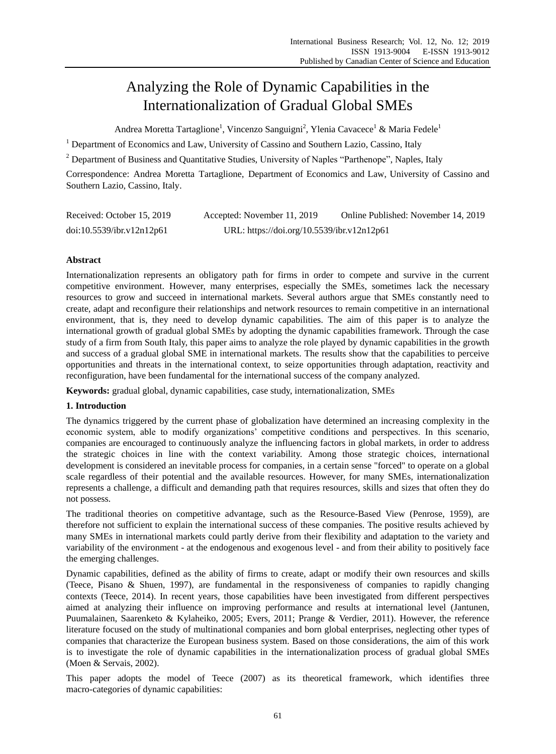# Analyzing the Role of Dynamic Capabilities in the Internationalization of Gradual Global SMEs

Andrea Moretta Tartaglione<sup>1</sup>, Vincenzo Sanguigni<sup>2</sup>, Ylenia Cavacece<sup>1</sup> & Maria Fedele<sup>1</sup>

<sup>1</sup> Department of Economics and Law, University of Cassino and Southern Lazio, Cassino, Italy

<sup>2</sup> Department of Business and Quantitative Studies, University of Naples "Parthenope", Naples, Italy

Correspondence: Andrea Moretta Tartaglione, Department of Economics and Law, University of Cassino and Southern Lazio, Cassino, Italy.

| Received: October 15, 2019 | Accepted: November 11, 2019                | Online Published: November 14, 2019 |
|----------------------------|--------------------------------------------|-------------------------------------|
| doi:10.5539/ibr.v12n12p61  | URL: https://doi.org/10.5539/ibr.v12n12p61 |                                     |

# **Abstract**

Internationalization represents an obligatory path for firms in order to compete and survive in the current competitive environment. However, many enterprises, especially the SMEs, sometimes lack the necessary resources to grow and succeed in international markets. Several authors argue that SMEs constantly need to create, adapt and reconfigure their relationships and network resources to remain competitive in an international environment, that is, they need to develop dynamic capabilities. The aim of this paper is to analyze the international growth of gradual global SMEs by adopting the dynamic capabilities framework. Through the case study of a firm from South Italy, this paper aims to analyze the role played by dynamic capabilities in the growth and success of a gradual global SME in international markets. The results show that the capabilities to perceive opportunities and threats in the international context, to seize opportunities through adaptation, reactivity and reconfiguration, have been fundamental for the international success of the company analyzed.

**Keywords:** gradual global, dynamic capabilities, case study, internationalization, SMEs

## **1. Introduction**

The dynamics triggered by the current phase of globalization have determined an increasing complexity in the economic system, able to modify organizations' competitive conditions and perspectives. In this scenario, companies are encouraged to continuously analyze the influencing factors in global markets, in order to address the strategic choices in line with the context variability. Among those strategic choices, international development is considered an inevitable process for companies, in a certain sense "forced" to operate on a global scale regardless of their potential and the available resources. However, for many SMEs, internationalization represents a challenge, a difficult and demanding path that requires resources, skills and sizes that often they do not possess.

The traditional theories on competitive advantage, such as the Resource-Based View (Penrose, 1959), are therefore not sufficient to explain the international success of these companies. The positive results achieved by many SMEs in international markets could partly derive from their flexibility and adaptation to the variety and variability of the environment - at the endogenous and exogenous level - and from their ability to positively face the emerging challenges.

Dynamic capabilities, defined as the ability of firms to create, adapt or modify their own resources and skills (Teece, Pisano & Shuen, 1997), are fundamental in the responsiveness of companies to rapidly changing contexts (Teece, 2014). In recent years, those capabilities have been investigated from different perspectives aimed at analyzing their influence on improving performance and results at international level (Jantunen, Puumalainen, Saarenketo & Kylaheiko, 2005; Evers, 2011; Prange & Verdier, 2011). However, the reference literature focused on the study of multinational companies and born global enterprises, neglecting other types of companies that characterize the European business system. Based on those considerations, the aim of this work is to investigate the role of dynamic capabilities in the internationalization process of gradual global SMEs (Moen & Servais, 2002).

This paper adopts the model of Teece (2007) as its theoretical framework, which identifies three macro-categories of dynamic capabilities: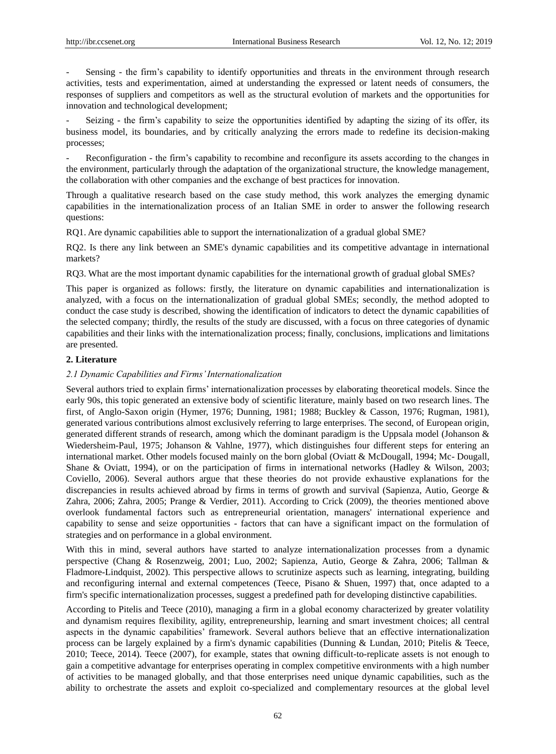Sensing - the firm's capability to identify opportunities and threats in the environment through research activities, tests and experimentation, aimed at understanding the expressed or latent needs of consumers, the responses of suppliers and competitors as well as the structural evolution of markets and the opportunities for innovation and technological development;

Seizing - the firm's capability to seize the opportunities identified by adapting the sizing of its offer, its business model, its boundaries, and by critically analyzing the errors made to redefine its decision-making processes;

Reconfiguration - the firm's capability to recombine and reconfigure its assets according to the changes in the environment, particularly through the adaptation of the organizational structure, the knowledge management, the collaboration with other companies and the exchange of best practices for innovation.

Through a qualitative research based on the case study method, this work analyzes the emerging dynamic capabilities in the internationalization process of an Italian SME in order to answer the following research questions:

RQ1. Are dynamic capabilities able to support the internationalization of a gradual global SME?

RQ2. Is there any link between an SME's dynamic capabilities and its competitive advantage in international markets?

RQ3. What are the most important dynamic capabilities for the international growth of gradual global SMEs?

This paper is organized as follows: firstly, the literature on dynamic capabilities and internationalization is analyzed, with a focus on the internationalization of gradual global SMEs; secondly, the method adopted to conduct the case study is described, showing the identification of indicators to detect the dynamic capabilities of the selected company; thirdly, the results of the study are discussed, with a focus on three categories of dynamic capabilities and their links with the internationalization process; finally, conclusions, implications and limitations are presented.

## **2. Literature**

## *2.1 Dynamic Capabilities and Firms' Internationalization*

Several authors tried to explain firms" internationalization processes by elaborating theoretical models. Since the early 90s, this topic generated an extensive body of scientific literature, mainly based on two research lines. The first, of Anglo-Saxon origin (Hymer, 1976; Dunning, 1981; 1988; Buckley & Casson, 1976; Rugman, 1981), generated various contributions almost exclusively referring to large enterprises. The second, of European origin, generated different strands of research, among which the dominant paradigm is the Uppsala model (Johanson & Wiedersheim-Paul, 1975; Johanson & Vahlne, 1977), which distinguishes four different steps for entering an international market. Other models focused mainly on the born global (Oviatt & McDougall, 1994; Mc- Dougall, Shane & Oviatt, 1994), or on the participation of firms in international networks (Hadley & Wilson, 2003; Coviello, 2006). Several authors argue that these theories do not provide exhaustive explanations for the discrepancies in results achieved abroad by firms in terms of growth and survival (Sapienza, Autio, George & Zahra, 2006; Zahra, 2005; Prange & Verdier, 2011). According to Crick (2009), the theories mentioned above overlook fundamental factors such as entrepreneurial orientation, managers' international experience and capability to sense and seize opportunities - factors that can have a significant impact on the formulation of strategies and on performance in a global environment.

With this in mind, several authors have started to analyze internationalization processes from a dynamic perspective (Chang & Rosenzweig, 2001; Luo, 2002; Sapienza, Autio, George & Zahra, 2006; Tallman & Fladmore-Lindquist, 2002). This perspective allows to scrutinize aspects such as learning, integrating, building and reconfiguring internal and external competences (Teece, Pisano & Shuen, 1997) that, once adapted to a firm's specific internationalization processes, suggest a predefined path for developing distinctive capabilities.

According to Pitelis and Teece (2010), managing a firm in a global economy characterized by greater volatility and dynamism requires flexibility, agility, entrepreneurship, learning and smart investment choices; all central aspects in the dynamic capabilities" framework. Several authors believe that an effective internationalization process can be largely explained by a firm's dynamic capabilities (Dunning & Lundan, 2010; Pitelis & Teece, 2010; Teece, 2014). Teece (2007), for example, states that owning difficult-to-replicate assets is not enough to gain a competitive advantage for enterprises operating in complex competitive environments with a high number of activities to be managed globally, and that those enterprises need unique dynamic capabilities, such as the ability to orchestrate the assets and exploit co-specialized and complementary resources at the global level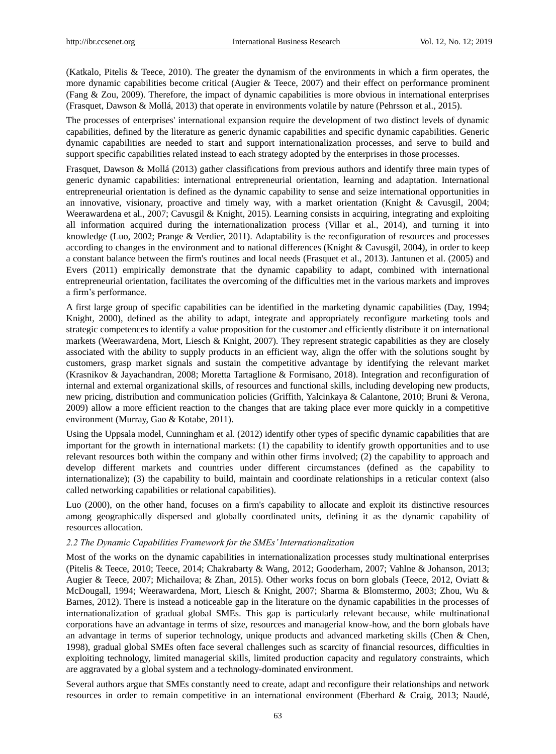(Katkalo, Pitelis & Teece, 2010). The greater the dynamism of the environments in which a firm operates, the more dynamic capabilities become critical (Augier & Teece, 2007) and their effect on performance prominent (Fang & Zou, 2009). Therefore, the impact of dynamic capabilities is more obvious in international enterprises (Frasquet, Dawson & Mollá, 2013) that operate in environments volatile by nature (Pehrsson et al., 2015).

The processes of enterprises' international expansion require the development of two distinct levels of dynamic capabilities, defined by the literature as generic dynamic capabilities and specific dynamic capabilities. Generic dynamic capabilities are needed to start and support internationalization processes, and serve to build and support specific capabilities related instead to each strategy adopted by the enterprises in those processes.

Frasquet, Dawson & Mollá (2013) gather classifications from previous authors and identify three main types of generic dynamic capabilities: international entrepreneurial orientation, learning and adaptation. International entrepreneurial orientation is defined as the dynamic capability to sense and seize international opportunities in an innovative, visionary, proactive and timely way, with a market orientation (Knight & Cavusgil, 2004; Weerawardena et al., 2007; Cavusgil & Knight, 2015). Learning consists in acquiring, integrating and exploiting all information acquired during the internationalization process (Villar et al., 2014), and turning it into knowledge (Luo, 2002; Prange & Verdier, 2011). Adaptability is the reconfiguration of resources and processes according to changes in the environment and to national differences (Knight & Cavusgil, 2004), in order to keep a constant balance between the firm's routines and local needs (Frasquet et al., 2013). Jantunen et al. (2005) and Evers (2011) empirically demonstrate that the dynamic capability to adapt, combined with international entrepreneurial orientation, facilitates the overcoming of the difficulties met in the various markets and improves a firm"s performance.

A first large group of specific capabilities can be identified in the marketing dynamic capabilities (Day, 1994; Knight, 2000), defined as the ability to adapt, integrate and appropriately reconfigure marketing tools and strategic competences to identify a value proposition for the customer and efficiently distribute it on international markets (Weerawardena, Mort, Liesch & Knight, 2007). They represent strategic capabilities as they are closely associated with the ability to supply products in an efficient way, align the offer with the solutions sought by customers, grasp market signals and sustain the competitive advantage by identifying the relevant market (Krasnikov & Jayachandran, 2008; Moretta Tartaglione & Formisano, 2018). Integration and reconfiguration of internal and external organizational skills, of resources and functional skills, including developing new products, new pricing, distribution and communication policies (Griffith, Yalcinkaya & Calantone, 2010; Bruni & Verona, 2009) allow a more efficient reaction to the changes that are taking place ever more quickly in a competitive environment (Murray, Gao & Kotabe, 2011).

Using the Uppsala model, Cunningham et al. (2012) identify other types of specific dynamic capabilities that are important for the growth in international markets: (1) the capability to identify growth opportunities and to use relevant resources both within the company and within other firms involved; (2) the capability to approach and develop different markets and countries under different circumstances (defined as the capability to internationalize); (3) the capability to build, maintain and coordinate relationships in a reticular context (also called networking capabilities or relational capabilities).

Luo (2000), on the other hand, focuses on a firm's capability to allocate and exploit its distinctive resources among geographically dispersed and globally coordinated units, defining it as the dynamic capability of resources allocation.

#### *2.2 The Dynamic Capabilities Framework for the SMEs' Internationalization*

Most of the works on the dynamic capabilities in internationalization processes study multinational enterprises (Pitelis & Teece, 2010; Teece, 2014; Chakrabarty & Wang, 2012; Gooderham, 2007; Vahlne & Johanson, 2013; Augier & Teece, 2007; Michailova; & Zhan, 2015). Other works focus on born globals (Teece, 2012, Oviatt & McDougall, 1994; Weerawardena, Mort, Liesch & Knight, 2007; Sharma & Blomstermo, 2003; Zhou, Wu & Barnes, 2012). There is instead a noticeable gap in the literature on the dynamic capabilities in the processes of internationalization of gradual global SMEs. This gap is particularly relevant because, while multinational corporations have an advantage in terms of size, resources and managerial know-how, and the born globals have an advantage in terms of superior technology, unique products and advanced marketing skills (Chen & Chen, 1998), gradual global SMEs often face several challenges such as scarcity of financial resources, difficulties in exploiting technology, limited managerial skills, limited production capacity and regulatory constraints, which are aggravated by a global system and a technology-dominated environment.

Several authors argue that SMEs constantly need to create, adapt and reconfigure their relationships and network resources in order to remain competitive in an international environment (Eberhard & Craig, 2013; Naudé,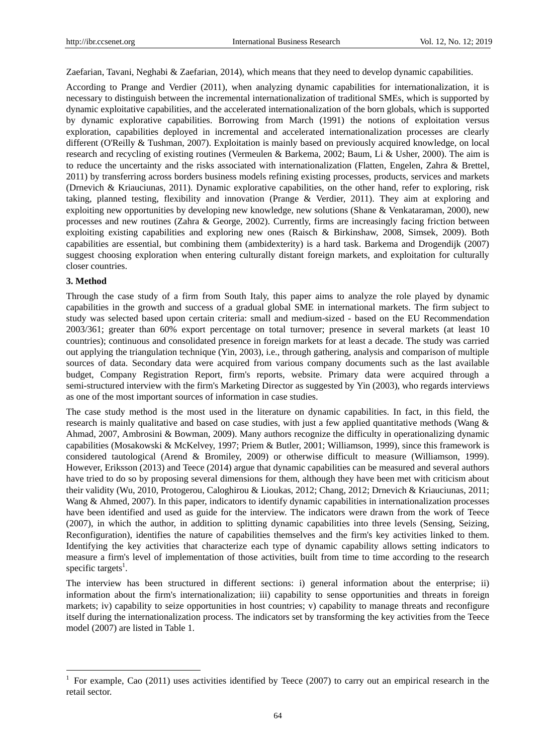Zaefarian, Tavani, Neghabi & Zaefarian, 2014), which means that they need to develop dynamic capabilities.

According to Prange and Verdier (2011), when analyzing dynamic capabilities for internationalization, it is necessary to distinguish between the incremental internationalization of traditional SMEs, which is supported by dynamic exploitative capabilities, and the accelerated internationalization of the born globals, which is supported by dynamic explorative capabilities. Borrowing from March (1991) the notions of exploitation versus exploration, capabilities deployed in incremental and accelerated internationalization processes are clearly different (O'Reilly & Tushman, 2007). Exploitation is mainly based on previously acquired knowledge, on local research and recycling of existing routines (Vermeulen & Barkema, 2002; Baum, Li & Usher, 2000). The aim is to reduce the uncertainty and the risks associated with internationalization (Flatten, Engelen, Zahra & Brettel, 2011) by transferring across borders business models refining existing processes, products, services and markets (Drnevich & Kriauciunas, 2011). Dynamic explorative capabilities, on the other hand, refer to exploring, risk taking, planned testing, flexibility and innovation (Prange & Verdier, 2011). They aim at exploring and exploiting new opportunities by developing new knowledge, new solutions (Shane & Venkataraman, 2000), new processes and new routines (Zahra & George, 2002). Currently, firms are increasingly facing friction between exploiting existing capabilities and exploring new ones (Raisch & Birkinshaw, 2008, Simsek, 2009). Both capabilities are essential, but combining them (ambidexterity) is a hard task. Barkema and Drogendijk (2007) suggest choosing exploration when entering culturally distant foreign markets, and exploitation for culturally closer countries.

#### **3. Method**

-

Through the case study of a firm from South Italy, this paper aims to analyze the role played by dynamic capabilities in the growth and success of a gradual global SME in international markets. The firm subject to study was selected based upon certain criteria: small and medium-sized - based on the EU Recommendation 2003/361; greater than 60% export percentage on total turnover; presence in several markets (at least 10 countries); continuous and consolidated presence in foreign markets for at least a decade. The study was carried out applying the triangulation technique (Yin, 2003), i.e., through gathering, analysis and comparison of multiple sources of data. Secondary data were acquired from various company documents such as the last available budget, Company Registration Report, firm's reports, website. Primary data were acquired through a semi-structured interview with the firm's Marketing Director as suggested by Yin (2003), who regards interviews as one of the most important sources of information in case studies.

The case study method is the most used in the literature on dynamic capabilities. In fact, in this field, the research is mainly qualitative and based on case studies, with just a few applied quantitative methods (Wang & Ahmad, 2007, Ambrosini & Bowman, 2009). Many authors recognize the difficulty in operationalizing dynamic capabilities (Mosakowski & McKelvey, 1997; Priem & Butler, 2001; Williamson, 1999), since this framework is considered tautological (Arend & Bromiley, 2009) or otherwise difficult to measure (Williamson, 1999). However, Eriksson (2013) and Teece (2014) argue that dynamic capabilities can be measured and several authors have tried to do so by proposing several dimensions for them, although they have been met with criticism about their validity (Wu, 2010, Protogerou, Caloghirou & Lioukas, 2012; Chang, 2012; Drnevich & Kriauciunas, 2011; Wang & Ahmed, 2007). In this paper, indicators to identify dynamic capabilities in internationalization processes have been identified and used as guide for the interview. The indicators were drawn from the work of Teece (2007), in which the author, in addition to splitting dynamic capabilities into three levels (Sensing, Seizing, Reconfiguration), identifies the nature of capabilities themselves and the firm's key activities linked to them. Identifying the key activities that characterize each type of dynamic capability allows setting indicators to measure a firm's level of implementation of those activities, built from time to time according to the research specific targets<sup>1</sup>.

The interview has been structured in different sections: i) general information about the enterprise; ii) information about the firm's internationalization; iii) capability to sense opportunities and threats in foreign markets; iv) capability to seize opportunities in host countries; v) capability to manage threats and reconfigure itself during the internationalization process. The indicators set by transforming the key activities from the Teece model (2007) are listed in Table 1.

<sup>1</sup> For example, Cao (2011) uses activities identified by Teece (2007) to carry out an empirical research in the retail sector.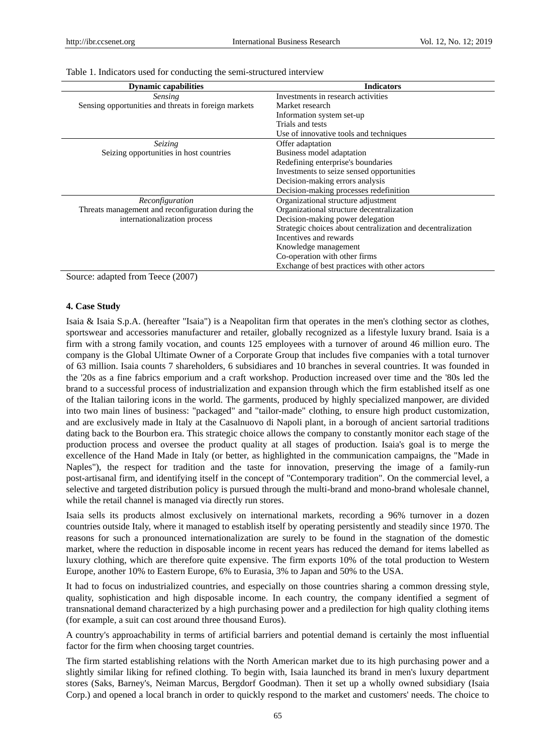| <b>Dynamic capabilities</b>                          | <b>Indicators</b>                                           |
|------------------------------------------------------|-------------------------------------------------------------|
| <i>Sensing</i>                                       | Investments in research activities                          |
| Sensing opportunities and threats in foreign markets | Market research                                             |
|                                                      | Information system set-up                                   |
|                                                      | Trials and tests                                            |
|                                                      | Use of innovative tools and techniques                      |
| Seizing                                              | Offer adaptation                                            |
| Seizing opportunities in host countries              | Business model adaptation                                   |
|                                                      | Redefining enterprise's boundaries                          |
|                                                      | Investments to seize sensed opportunities                   |
|                                                      | Decision-making errors analysis                             |
|                                                      | Decision-making processes redefinition                      |
| Reconfiguration                                      | Organizational structure adjustment                         |
| Threats management and reconfiguration during the    | Organizational structure decentralization                   |
| internationalization process                         | Decision-making power delegation                            |
|                                                      | Strategic choices about centralization and decentralization |
|                                                      | Incentives and rewards                                      |
|                                                      | Knowledge management                                        |
|                                                      | Co-operation with other firms                               |
|                                                      | Exchange of best practices with other actors                |

Table 1. Indicators used for conducting the semi-structured interview

Source: adapted from Teece (2007)

#### **4. Case Study**

Isaia & Isaia S.p.A. (hereafter "Isaia") is a Neapolitan firm that operates in the men's clothing sector as clothes, sportswear and accessories manufacturer and retailer, globally recognized as a lifestyle luxury brand. Isaia is a firm with a strong family vocation, and counts 125 employees with a turnover of around 46 million euro. The company is the Global Ultimate Owner of a Corporate Group that includes five companies with a total turnover of 63 million. Isaia counts 7 shareholders, 6 subsidiares and 10 branches in several countries. It was founded in the '20s as a fine fabrics emporium and a craft workshop. Production increased over time and the '80s led the brand to a successful process of industrialization and expansion through which the firm established itself as one of the Italian tailoring icons in the world. The garments, produced by highly specialized manpower, are divided into two main lines of business: "packaged" and "tailor-made" clothing, to ensure high product customization, and are exclusively made in Italy at the Casalnuovo di Napoli plant, in a borough of ancient sartorial traditions dating back to the Bourbon era. This strategic choice allows the company to constantly monitor each stage of the production process and oversee the product quality at all stages of production. Isaia's goal is to merge the excellence of the Hand Made in Italy (or better, as highlighted in the communication campaigns, the "Made in Naples"), the respect for tradition and the taste for innovation, preserving the image of a family-run post-artisanal firm, and identifying itself in the concept of "Contemporary tradition". On the commercial level, a selective and targeted distribution policy is pursued through the multi-brand and mono-brand wholesale channel, while the retail channel is managed via directly run stores.

Isaia sells its products almost exclusively on international markets, recording a 96% turnover in a dozen countries outside Italy, where it managed to establish itself by operating persistently and steadily since 1970. The reasons for such a pronounced internationalization are surely to be found in the stagnation of the domestic market, where the reduction in disposable income in recent years has reduced the demand for items labelled as luxury clothing, which are therefore quite expensive. The firm exports 10% of the total production to Western Europe, another 10% to Eastern Europe, 6% to Eurasia, 3% to Japan and 50% to the USA.

It had to focus on industrialized countries, and especially on those countries sharing a common dressing style, quality, sophistication and high disposable income. In each country, the company identified a segment of transnational demand characterized by a high purchasing power and a predilection for high quality clothing items (for example, a suit can cost around three thousand Euros).

A country's approachability in terms of artificial barriers and potential demand is certainly the most influential factor for the firm when choosing target countries.

The firm started establishing relations with the North American market due to its high purchasing power and a slightly similar liking for refined clothing. To begin with, Isaia launched its brand in men's luxury department stores (Saks, Barney's, Neiman Marcus, Bergdorf Goodman). Then it set up a wholly owned subsidiary (Isaia Corp.) and opened a local branch in order to quickly respond to the market and customers' needs. The choice to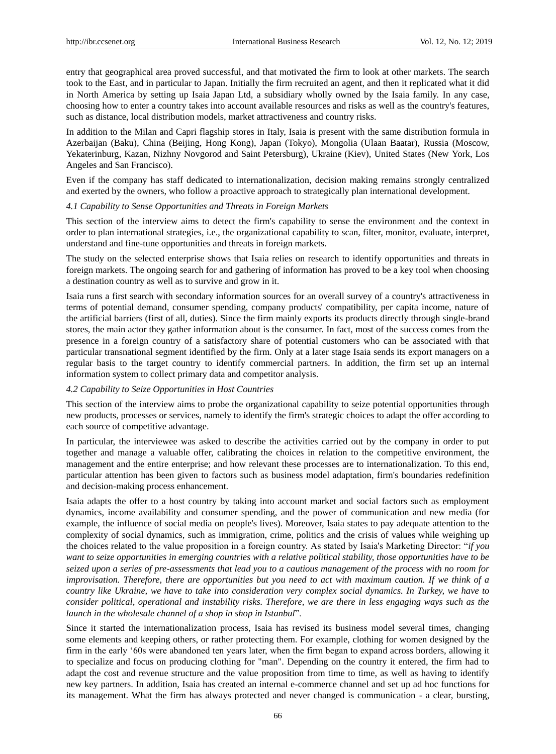entry that geographical area proved successful, and that motivated the firm to look at other markets. The search took to the East, and in particular to Japan. Initially the firm recruited an agent, and then it replicated what it did in North America by setting up Isaia Japan Ltd, a subsidiary wholly owned by the Isaia family. In any case, choosing how to enter a country takes into account available resources and risks as well as the country's features, such as distance, local distribution models, market attractiveness and country risks.

In addition to the Milan and Capri flagship stores in Italy, Isaia is present with the same distribution formula in Azerbaijan (Baku), China (Beijing, Hong Kong), Japan (Tokyo), Mongolia (Ulaan Baatar), Russia (Moscow, Yekaterinburg, Kazan, Nizhny Novgorod and Saint Petersburg), Ukraine (Kiev), United States (New York, Los Angeles and San Francisco).

Even if the company has staff dedicated to internationalization, decision making remains strongly centralized and exerted by the owners, who follow a proactive approach to strategically plan international development.

#### *4.1 Capability to Sense Opportunities and Threats in Foreign Markets*

This section of the interview aims to detect the firm's capability to sense the environment and the context in order to plan international strategies, i.e., the organizational capability to scan, filter, monitor, evaluate, interpret, understand and fine-tune opportunities and threats in foreign markets.

The study on the selected enterprise shows that Isaia relies on research to identify opportunities and threats in foreign markets. The ongoing search for and gathering of information has proved to be a key tool when choosing a destination country as well as to survive and grow in it.

Isaia runs a first search with secondary information sources for an overall survey of a country's attractiveness in terms of potential demand, consumer spending, company products' compatibility, per capita income, nature of the artificial barriers (first of all, duties). Since the firm mainly exports its products directly through single-brand stores, the main actor they gather information about is the consumer. In fact, most of the success comes from the presence in a foreign country of a satisfactory share of potential customers who can be associated with that particular transnational segment identified by the firm. Only at a later stage Isaia sends its export managers on a regular basis to the target country to identify commercial partners. In addition, the firm set up an internal information system to collect primary data and competitor analysis.

## *4.2 Capability to Seize Opportunities in Host Countries*

This section of the interview aims to probe the organizational capability to seize potential opportunities through new products, processes or services, namely to identify the firm's strategic choices to adapt the offer according to each source of competitive advantage.

In particular, the interviewee was asked to describe the activities carried out by the company in order to put together and manage a valuable offer, calibrating the choices in relation to the competitive environment, the management and the entire enterprise; and how relevant these processes are to internationalization. To this end, particular attention has been given to factors such as business model adaptation, firm's boundaries redefinition and decision-making process enhancement.

Isaia adapts the offer to a host country by taking into account market and social factors such as employment dynamics, income availability and consumer spending, and the power of communication and new media (for example, the influence of social media on people's lives). Moreover, Isaia states to pay adequate attention to the complexity of social dynamics, such as immigration, crime, politics and the crisis of values while weighing up the choices related to the value proposition in a foreign country. As stated by Isaia's Marketing Director: "*if you want to seize opportunities in emerging countries with a relative political stability, those opportunities have to be seized upon a series of pre-assessments that lead you to a cautious management of the process with no room for improvisation. Therefore, there are opportunities but you need to act with maximum caution. If we think of a country like Ukraine, we have to take into consideration very complex social dynamics. In Turkey, we have to consider political, operational and instability risks. Therefore, we are there in less engaging ways such as the launch in the wholesale channel of a shop in shop in Istanbul*".

Since it started the internationalization process, Isaia has revised its business model several times, changing some elements and keeping others, or rather protecting them. For example, clothing for women designed by the firm in the early "60s were abandoned ten years later, when the firm began to expand across borders, allowing it to specialize and focus on producing clothing for "man". Depending on the country it entered, the firm had to adapt the cost and revenue structure and the value proposition from time to time, as well as having to identify new key partners. In addition, Isaia has created an internal e-commerce channel and set up ad hoc functions for its management. What the firm has always protected and never changed is communication - a clear, bursting,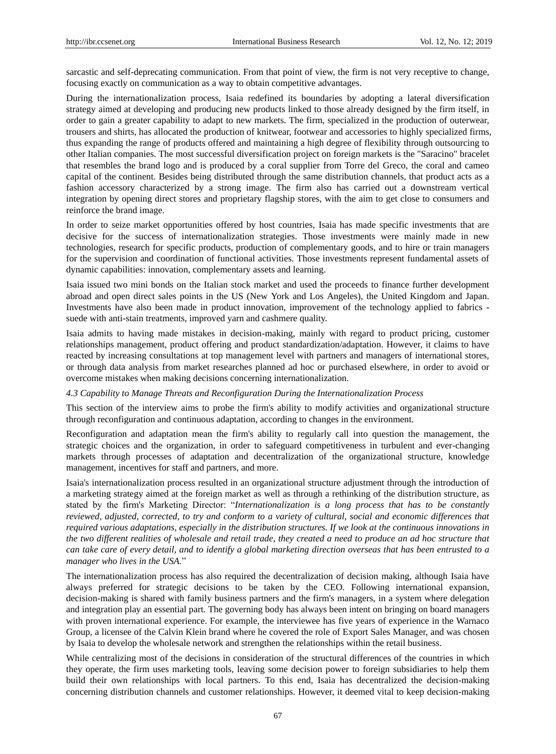sarcastic and self-deprecating communication. From that point of view, the firm is not very receptive to change, focusing exactly on communication as a way to obtain competitive advantages.

During the internationalization process, Isaia redefined its boundaries by adopting a lateral diversification strategy aimed at developing and producing new products linked to those already designed by the firm itself, in order to gain a greater capability to adapt to new markets. The firm, specialized in the production of outerwear, trousers and shirts, has allocated the production of knitwear, footwear and accessories to highly specialized firms, thus expanding the range of products offered and maintaining a high degree of flexibility through outsourcing to other Italian companies. The most successful diversification project on foreign markets is the "Saracino" bracelet that resembles the brand logo and is produced by a coral supplier from Torre del Greco, the coral and cameo capital of the continent. Besides being distributed through the same distribution channels, that product acts as a fashion accessory characterized by a strong image. The firm also has carried out a downstream vertical integration by opening direct stores and proprietary flagship stores, with the aim to get close to consumers and reinforce the brand image.

In order to seize market opportunities offered by host countries, Isaia has made specific investments that are decisive for the success of internationalization strategies. Those investments were mainly made in new technologies, research for specific products, production of complementary goods, and to hire or train managers for the supervision and coordination of functional activities. Those investments represent fundamental assets of dynamic capabilities: innovation, complementary assets and learning.

Isaia issued two mini bonds on the Italian stock market and used the proceeds to finance further development abroad and open direct sales points in the US (New York and Los Angeles), the United Kingdom and Japan. Investments have also been made in product innovation, improvement of the technology applied to fabrics suede with anti-stain treatments, improved yarn and cashmere quality.

Isaia admits to having made mistakes in decision-making, mainly with regard to product pricing, customer relationships management, product offering and product standardization/adaptation. However, it claims to have reacted by increasing consultations at top management level with partners and managers of international stores, or through data analysis from market researches planned ad hoc or purchased elsewhere, in order to avoid or overcome mistakes when making decisions concerning internationalization.

#### *4.3 Capability to Manage Threats and Reconfiguration During the Internationalization Process*

This section of the interview aims to probe the firm's ability to modify activities and organizational structure through reconfiguration and continuous adaptation, according to changes in the environment.

Reconfiguration and adaptation mean the firm's ability to regularly call into question the management, the strategic choices and the organization, in order to safeguard competitiveness in turbulent and ever-changing markets through processes of adaptation and decentralization of the organizational structure, knowledge management, incentives for staff and partners, and more.

Isaia's internationalization process resulted in an organizational structure adjustment through the introduction of a marketing strategy aimed at the foreign market as well as through a rethinking of the distribution structure, as stated by the firm's Marketing Director: "*Internationalization is a long process that has to be constantly reviewed, adjusted, corrected, to try and conform to a variety of cultural, social and economic differences that required various adaptations, especially in the distribution structures. If we look at the continuous innovations in the two different realities of wholesale and retail trade, they created a need to produce an ad hoc structure that can take care of every detail, and to identify a global marketing direction overseas that has been entrusted to a manager who lives in the USA.*"

The internationalization process has also required the decentralization of decision making, although Isaia have always preferred for strategic decisions to be taken by the CEO. Following international expansion, decision-making is shared with family business partners and the firm's managers, in a system where delegation and integration play an essential part. The governing body has always been intent on bringing on board managers with proven international experience. For example, the interviewee has five years of experience in the Warnaco Group, a licensee of the Calvin Klein brand where he covered the role of Export Sales Manager, and was chosen by Isaia to develop the wholesale network and strengthen the relationships within the retail business.

While centralizing most of the decisions in consideration of the structural differences of the countries in which they operate, the firm uses marketing tools, leaving some decision power to foreign subsidiaries to help them build their own relationships with local partners. To this end, Isaia has decentralized the decision-making concerning distribution channels and customer relationships. However, it deemed vital to keep decision-making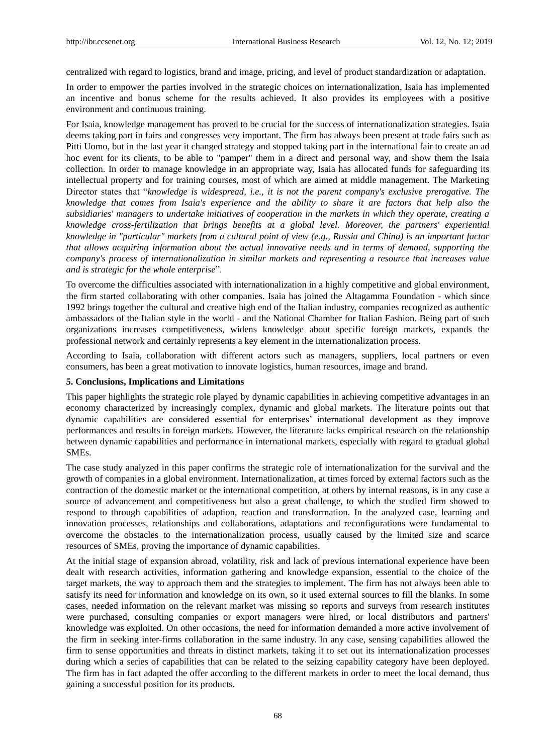centralized with regard to logistics, brand and image, pricing, and level of product standardization or adaptation.

In order to empower the parties involved in the strategic choices on internationalization, Isaia has implemented an incentive and bonus scheme for the results achieved. It also provides its employees with a positive environment and continuous training.

For Isaia, knowledge management has proved to be crucial for the success of internationalization strategies. Isaia deems taking part in fairs and congresses very important. The firm has always been present at trade fairs such as Pitti Uomo, but in the last year it changed strategy and stopped taking part in the international fair to create an ad hoc event for its clients, to be able to "pamper" them in a direct and personal way, and show them the Isaia collection. In order to manage knowledge in an appropriate way, Isaia has allocated funds for safeguarding its intellectual property and for training courses, most of which are aimed at middle management. The Marketing Director states that "*knowledge is widespread, i.e., it is not the parent company's exclusive prerogative. The knowledge that comes from Isaia's experience and the ability to share it are factors that help also the subsidiaries' managers to undertake initiatives of cooperation in the markets in which they operate, creating a knowledge cross-fertilization that brings benefits at a global level. Moreover, the partners' experiential knowledge in "particular" markets from a cultural point of view (e.g., Russia and China) is an important factor that allows acquiring information about the actual innovative needs and in terms of demand, supporting the company's process of internationalization in similar markets and representing a resource that increases value and is strategic for the whole enterprise*".

To overcome the difficulties associated with internationalization in a highly competitive and global environment, the firm started collaborating with other companies. Isaia has joined the Altagamma Foundation - which since 1992 brings together the cultural and creative high end of the Italian industry, companies recognized as authentic ambassadors of the Italian style in the world - and the National Chamber for Italian Fashion. Being part of such organizations increases competitiveness, widens knowledge about specific foreign markets, expands the professional network and certainly represents a key element in the internationalization process.

According to Isaia, collaboration with different actors such as managers, suppliers, local partners or even consumers, has been a great motivation to innovate logistics, human resources, image and brand.

## **5. Conclusions, Implications and Limitations**

This paper highlights the strategic role played by dynamic capabilities in achieving competitive advantages in an economy characterized by increasingly complex, dynamic and global markets. The literature points out that dynamic capabilities are considered essential for enterprises" international development as they improve performances and results in foreign markets. However, the literature lacks empirical research on the relationship between dynamic capabilities and performance in international markets, especially with regard to gradual global SMEs.

The case study analyzed in this paper confirms the strategic role of internationalization for the survival and the growth of companies in a global environment. Internationalization, at times forced by external factors such as the contraction of the domestic market or the international competition, at others by internal reasons, is in any case a source of advancement and competitiveness but also a great challenge, to which the studied firm showed to respond to through capabilities of adaption, reaction and transformation. In the analyzed case, learning and innovation processes, relationships and collaborations, adaptations and reconfigurations were fundamental to overcome the obstacles to the internationalization process, usually caused by the limited size and scarce resources of SMEs, proving the importance of dynamic capabilities.

At the initial stage of expansion abroad, volatility, risk and lack of previous international experience have been dealt with research activities, information gathering and knowledge expansion, essential to the choice of the target markets, the way to approach them and the strategies to implement. The firm has not always been able to satisfy its need for information and knowledge on its own, so it used external sources to fill the blanks. In some cases, needed information on the relevant market was missing so reports and surveys from research institutes were purchased, consulting companies or export managers were hired, or local distributors and partners' knowledge was exploited. On other occasions, the need for information demanded a more active involvement of the firm in seeking inter-firms collaboration in the same industry. In any case, sensing capabilities allowed the firm to sense opportunities and threats in distinct markets, taking it to set out its internationalization processes during which a series of capabilities that can be related to the seizing capability category have been deployed. The firm has in fact adapted the offer according to the different markets in order to meet the local demand, thus gaining a successful position for its products.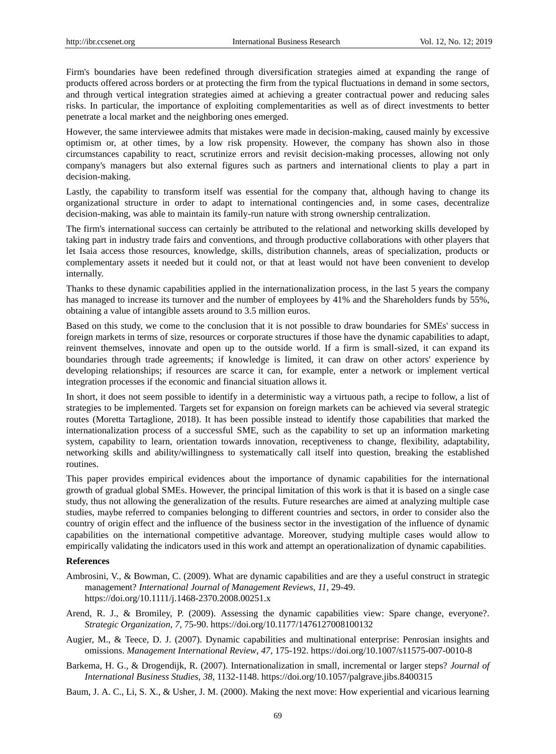Firm's boundaries have been redefined through diversification strategies aimed at expanding the range of products offered across borders or at protecting the firm from the typical fluctuations in demand in some sectors, and through vertical integration strategies aimed at achieving a greater contractual power and reducing sales risks. In particular, the importance of exploiting complementarities as well as of direct investments to better penetrate a local market and the neighboring ones emerged.

However, the same interviewee admits that mistakes were made in decision-making, caused mainly by excessive optimism or, at other times, by a low risk propensity. However, the company has shown also in those circumstances capability to react, scrutinize errors and revisit decision-making processes, allowing not only company's managers but also external figures such as partners and international clients to play a part in decision-making.

Lastly, the capability to transform itself was essential for the company that, although having to change its organizational structure in order to adapt to international contingencies and, in some cases, decentralize decision-making, was able to maintain its family-run nature with strong ownership centralization.

The firm's international success can certainly be attributed to the relational and networking skills developed by taking part in industry trade fairs and conventions, and through productive collaborations with other players that let Isaia access those resources, knowledge, skills, distribution channels, areas of specialization, products or complementary assets it needed but it could not, or that at least would not have been convenient to develop internally.

Thanks to these dynamic capabilities applied in the internationalization process, in the last 5 years the company has managed to increase its turnover and the number of employees by 41% and the Shareholders funds by 55%, obtaining a value of intangible assets around to 3.5 million euros.

Based on this study, we come to the conclusion that it is not possible to draw boundaries for SMEs' success in foreign markets in terms of size, resources or corporate structures if those have the dynamic capabilities to adapt, reinvent themselves, innovate and open up to the outside world. If a firm is small-sized, it can expand its boundaries through trade agreements; if knowledge is limited, it can draw on other actors' experience by developing relationships; if resources are scarce it can, for example, enter a network or implement vertical integration processes if the economic and financial situation allows it.

In short, it does not seem possible to identify in a deterministic way a virtuous path, a recipe to follow, a list of strategies to be implemented. Targets set for expansion on foreign markets can be achieved via several strategic routes (Moretta Tartaglione, 2018). It has been possible instead to identify those capabilities that marked the internationalization process of a successful SME, such as the capability to set up an information marketing system, capability to learn, orientation towards innovation, receptiveness to change, flexibility, adaptability, networking skills and ability/willingness to systematically call itself into question, breaking the established routines.

This paper provides empirical evidences about the importance of dynamic capabilities for the international growth of gradual global SMEs. However, the principal limitation of this work is that it is based on a single case study, thus not allowing the generalization of the results. Future researches are aimed at analyzing multiple case studies, maybe referred to companies belonging to different countries and sectors, in order to consider also the country of origin effect and the influence of the business sector in the investigation of the influence of dynamic capabilities on the international competitive advantage. Moreover, studying multiple cases would allow to empirically validating the indicators used in this work and attempt an operationalization of dynamic capabilities.

#### **References**

- Ambrosini, V., & Bowman, C. (2009). What are dynamic capabilities and are they a useful construct in strategic management? *International Journal of Management Reviews*, *11*, 29-49. https://doi.org/10.1111/j.1468-2370.2008.00251.x
- Arend, R. J., & Bromiley, P. (2009). Assessing the dynamic capabilities view: Spare change, everyone?. *Strategic Organization*, *7,* 75-90. https://doi.org/10.1177/1476127008100132
- Augier, M., & Teece, D. J. (2007). Dynamic capabilities and multinational enterprise: Penrosian insights and omissions. *Management International Review*, *47*, 175-192. https://doi.org/10.1007/s11575-007-0010-8
- Barkema, H. G., & Drogendijk, R. (2007). Internationalization in small, incremental or larger steps? *Journal of International Business Studies*, *38*, 1132-1148. https://doi.org/10.1057/palgrave.jibs.8400315

Baum, J. A. C., Li, S. X., & Usher, J. M. (2000). Making the next move: How experiential and vicarious learning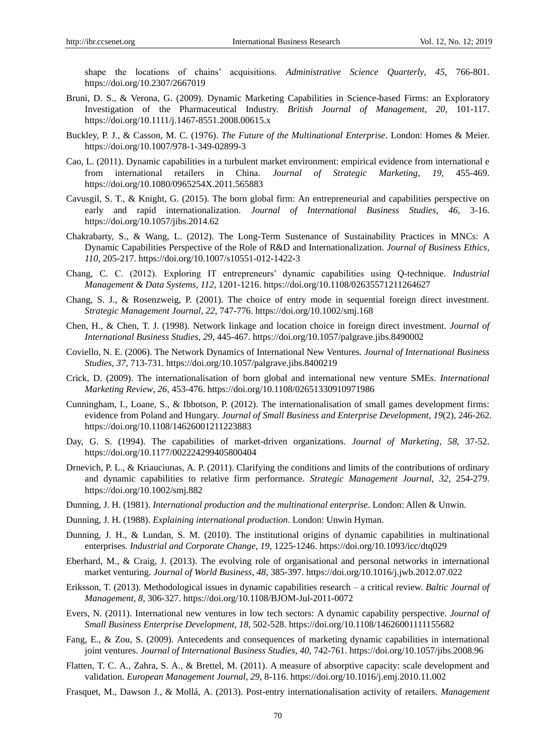shape the locations of chains" acquisitions. *Administrative Science Quarterly*, *45*, 766-801. https://doi.org/10.2307/2667019

- Bruni, D. S., & Verona, G. (2009). Dynamic Marketing Capabilities in Science-based Firms: an Exploratory Investigation of the Pharmaceutical Industry. *British Journal of Management*, *20*, 101-117. https://doi.org/10.1111/j.1467-8551.2008.00615.x
- Buckley, P. J., & Casson, M. C. (1976). *The Future of the Multinational Enterprise*. London: Homes & Meier. https://doi.org/10.1007/978-1-349-02899-3
- Cao, L. (2011). Dynamic capabilities in a turbulent market environment: empirical evidence from international e from international retailers in China. *Journal of Strategic Marketing*, *19*, 455-469. https://doi.org/10.1080/0965254X.2011.565883
- Cavusgil, S. T., & Knight, G. (2015). The born global firm: An entrepreneurial and capabilities perspective on early and rapid internationalization. *Journal of International Business Studies*, *46*, 3-16. https://doi.org/10.1057/jibs.2014.62
- Chakrabarty, S., & Wang, L. (2012). The Long-Term Sustenance of Sustainability Practices in MNCs: A Dynamic Capabilities Perspective of the Role of R&D and Internationalization. *Journal of Business Ethics*, *110*, 205-217. https://doi.org/10.1007/s10551-012-1422-3
- Chang, C. C. (2012). Exploring IT entrepreneurs" dynamic capabilities using Q-technique. *Industrial Management & Data Systems*, *112*, 1201-1216. https://doi.org/10.1108/02635571211264627
- Chang, S. J., & Rosenzweig, P. (2001). The choice of entry mode in sequential foreign direct investment. *Strategic Management Journal*, *22*, 747-776. https://doi.org/10.1002/smj.168
- Chen, H., & Chen, T. J. (1998). Network linkage and location choice in foreign direct investment. *Journal of International Business Studies*, *29*, 445-467. https://doi.org/10.1057/palgrave.jibs.8490002
- Coviello, N. E. (2006). The Network Dynamics of International New Ventures. *Journal of International Business Studies*, *37*, 713-731. https://doi.org/10.1057/palgrave.jibs.8400219
- Crick, D. (2009). The internationalisation of born global and international new venture SMEs. *International Marketing Review*, *26*, 453-476. https://doi.org/10.1108/02651330910971986
- Cunningham, I., Loane, S., & Ibbotson, P. (2012). The internationalisation of small games development firms: evidence from Poland and Hungary. *Journal of Small Business and Enterprise Development*, *19*(2), 246-262. https://doi.org/10.1108/14626001211223883
- Day, G. S. (1994). The capabilities of market-driven organizations. *Journal of Marketing*, *58*, 37-52. https://doi.org/10.1177/002224299405800404
- Drnevich, P. L., & Kriauciunas, A. P. (2011). Clarifying the conditions and limits of the contributions of ordinary and dynamic capabilities to relative firm performance. *Strategic Management Journal*, *32*, 254-279. https://doi.org/10.1002/smj.882
- Dunning, J. H. (1981). *International production and the multinational enterprise*. London: Allen & Unwin.
- Dunning, J. H. (1988). *Explaining international production*. London: Unwin Hyman.
- Dunning, J. H., & Lundan, S. M. (2010). The institutional origins of dynamic capabilities in multinational enterprises. *Industrial and Corporate Change*, *19*, 1225-1246. https://doi.org/10.1093/icc/dtq029
- Eberhard, M., & Craig, J. (2013). The evolving role of organisational and personal networks in international market venturing. *Journal of World Business*, *48*, 385-397. https://doi.org/10.1016/j.jwb.2012.07.022
- Eriksson, T. (2013). Methodological issues in dynamic capabilities research a critical review. *Baltic Journal of Management*, *8*, 306-327. https://doi.org/10.1108/BJOM-Jul-2011-0072
- Evers, N. (2011). International new ventures in low tech sectors: A dynamic capability perspective. *Journal of Small Business Enterprise Development*, *18*, 502-528. https://doi.org/10.1108/14626001111155682
- Fang, E., & Zou, S. (2009). Antecedents and consequences of marketing dynamic capabilities in international joint ventures. *Journal of International Business Studies*, *40*, 742-761. https://doi.org/10.1057/jibs.2008.96
- Flatten, T. C. A., Zahra, S. A., & Brettel, M. (2011). A measure of absorptive capacity: scale development and validation. *European Management Journal*, *29*, 8-116. https://doi.org/10.1016/j.emj.2010.11.002
- Frasquet, M., Dawson J., & Mollá, A. (2013). Post-entry internationalisation activity of retailers. *Management*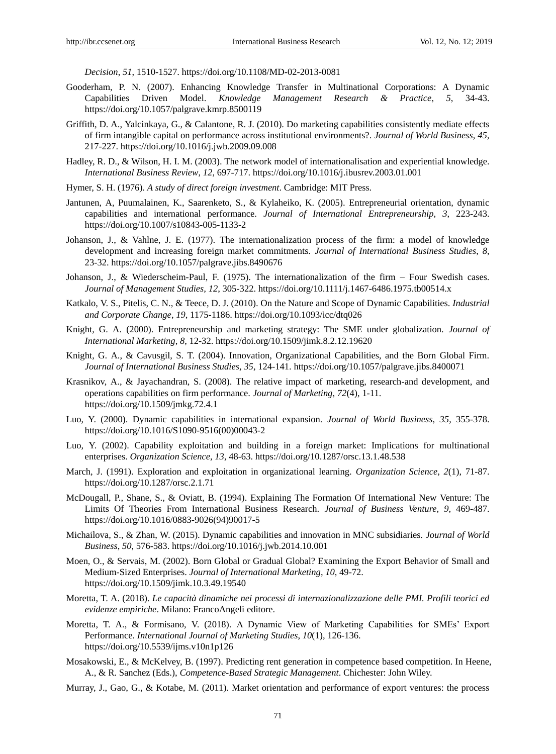*Decision*, *51*, 1510-1527. https://doi.org/10.1108/MD-02-2013-0081

- Gooderham, P. N. (2007). Enhancing Knowledge Transfer in Multinational Corporations: A Dynamic Capabilities Driven Model. Knowledge Management Research & Practice, 5, 34-43. Capabilities Driven Model. *Knowledge Management Research & Practice*, *5*, 34-43. https://doi.org/10.1057/palgrave.kmrp.8500119
- Griffith, D. A., Yalcinkaya, G., & Calantone, R. J. (2010). Do marketing capabilities consistently mediate effects of firm intangible capital on performance across institutional environments?. *Journal of World Business*, *45*, 217-227. https://doi.org/10.1016/j.jwb.2009.09.008
- Hadley, R. D., & Wilson, H. I. M. (2003). The network model of internationalisation and experiential knowledge. *International Business Review*, *12*, 697-717. https://doi.org/10.1016/j.ibusrev.2003.01.001
- Hymer, S. H. (1976). *A study of direct foreign investment*. Cambridge: MIT Press.
- Jantunen, A, Puumalainen, K., Saarenketo, S., & Kylaheiko, K. (2005). Entrepreneurial orientation, dynamic capabilities and international performance. *Journal of International Entrepreneurship*, *3*, 223-243. https://doi.org/10.1007/s10843-005-1133-2
- Johanson, J., & Vahlne, J. E. (1977). The internationalization process of the firm: a model of knowledge development and increasing foreign market commitments. *Journal of International Business Studies*, *8*, 23-32. https://doi.org/10.1057/palgrave.jibs.8490676
- Johanson, J., & Wiederscheim-Paul, F. (1975). The internationalization of the firm Four Swedish cases. *Journal of Management Studies, 12*, 305-322. https://doi.org/10.1111/j.1467-6486.1975.tb00514.x
- Katkalo, V. S., Pitelis, C. N., & Teece, D. J. (2010). On the Nature and Scope of Dynamic Capabilities. *Industrial and Corporate Change*, *19*, 1175-1186. https://doi.org/10.1093/icc/dtq026
- Knight, G. A. (2000). Entrepreneurship and marketing strategy: The SME under globalization. *Journal of International Marketing*, *8*, 12-32. https://doi.org/10.1509/jimk.8.2.12.19620
- Knight, G. A., & Cavusgil, S. T. (2004). Innovation, Organizational Capabilities, and the Born Global Firm. *Journal of International Business Studies*, *35*, 124-141. https://doi.org/10.1057/palgrave.jibs.8400071
- Krasnikov, A., & Jayachandran, S. (2008). The relative impact of marketing, research-and development, and operations capabilities on firm performance. *Journal of Marketing*, *72*(4), 1-11. https://doi.org/10.1509/jmkg.72.4.1
- Luo, Y. (2000). Dynamic capabilities in international expansion. *Journal of World Business*, *35*, 355-378. https://doi.org/10.1016/S1090-9516(00)00043-2
- Luo, Y. (2002). Capability exploitation and building in a foreign market: Implications for multinational enterprises. *Organization Science*, *13*, 48-63. https://doi.org/10.1287/orsc.13.1.48.538
- March, J. (1991). Exploration and exploitation in organizational learning. *Organization Science*, *2*(1), 71-87. https://doi.org/10.1287/orsc.2.1.71
- McDougall, P., Shane, S., & Oviatt, B. (1994). Explaining The Formation Of International New Venture: The Limits Of Theories From International Business Research. *Journal of Business Venture*, *9*, 469-487. https://doi.org/10.1016/0883-9026(94)90017-5
- Michailova, S., & Zhan, W. (2015). Dynamic capabilities and innovation in MNC subsidiaries. *Journal of World Business*, *50*, 576-583. https://doi.org/10.1016/j.jwb.2014.10.001
- Moen, O., & Servais, M. (2002). Born Global or Gradual Global? Examining the Export Behavior of Small and Medium-Sized Enterprises. *Journal of International Marketing*, *10*, 49-72. https://doi.org/10.1509/jimk.10.3.49.19540
- Moretta, T. A. (2018). *Le capacità dinamiche nei processi di internazionalizzazione delle PMI. Profili teorici ed evidenze empiriche*. Milano: FrancoAngeli editore.
- Moretta, T. A., & Formisano, V. (2018). A Dynamic View of Marketing Capabilities for SMEs" Export Performance. *International Journal of Marketing Studies*, *10*(1), 126-136. https://doi.org/10.5539/ijms.v10n1p126
- Mosakowski, E., & McKelvey, B. (1997). Predicting rent generation in competence based competition. In Heene, A., & R. Sanchez (Eds.), *Competence-Based Strategic Management*. Chichester: John Wiley.
- Murray, J., Gao, G., & Kotabe, M. (2011). Market orientation and performance of export ventures: the process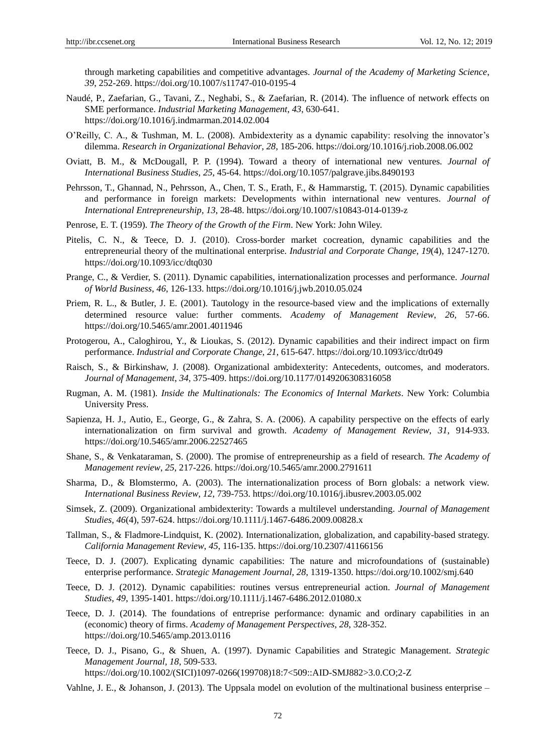through marketing capabilities and competitive advantages. *Journal of the Academy of Marketing Science*, *39*, 252-269. https://doi.org/10.1007/s11747-010-0195-4

- Naudé, P., Zaefarian, G., Tavani, Z., Neghabi, S., & Zaefarian, R. (2014). The influence of network effects on SME performance. *Industrial Marketing Management*, *43*, 630-641. https://doi.org/10.1016/j.indmarman.2014.02.004
- O"Reilly, C. A., & Tushman, M. L. (2008). Ambidexterity as a dynamic capability: resolving the innovator"s dilemma. *Research in Organizational Behavior*, *28*, 185-206. https://doi.org/10.1016/j.riob.2008.06.002
- Oviatt, B. M., & McDougall, P. P. (1994). Toward a theory of international new ventures. *Journal of International Business Studies*, *25*, 45-64. https://doi.org/10.1057/palgrave.jibs.8490193
- Pehrsson, T., Ghannad, N., Pehrsson, A., Chen, T. S., Erath, F., & Hammarstig, T. (2015). Dynamic capabilities and performance in foreign markets: Developments within international new ventures. *Journal of International Entrepreneurship*, *13*, 28-48. https://doi.org/10.1007/s10843-014-0139-z
- Penrose, E. T. (1959). *The Theory of the Growth of the Firm*. New York: John Wiley.
- Pitelis, C. N., & Teece, D. J. (2010). Cross-border market cocreation, dynamic capabilities and the entrepreneurial theory of the multinational enterprise. *Industrial and Corporate Change*, *19*(4), 1247-1270. https://doi.org/10.1093/icc/dtq030
- Prange, C., & Verdier, S. (2011). Dynamic capabilities, internationalization processes and performance. *Journal of World Business*, *46*, 126-133. https://doi.org/10.1016/j.jwb.2010.05.024
- Priem, R. L., & Butler, J. E. (2001). Tautology in the resource-based view and the implications of externally determined resource value: further comments. *Academy of Management Review*, *26,* 57-66. https://doi.org/10.5465/amr.2001.4011946
- Protogerou, A., Caloghirou, Y., & Lioukas, S. (2012). Dynamic capabilities and their indirect impact on firm performance. *Industrial and Corporate Change*, *21*, 615-647. https://doi.org/10.1093/icc/dtr049
- Raisch, S., & Birkinshaw, J. (2008). Organizational ambidexterity: Antecedents, outcomes, and moderators. *Journal of Management*, *34*, 375-409. https://doi.org/10.1177/0149206308316058
- Rugman, A. M. (1981). *Inside the Multinationals: The Economics of Internal Markets*. New York: Columbia University Press.
- Sapienza, H. J., Autio, E., George, G., & Zahra, S. A. (2006). A capability perspective on the effects of early internationalization on firm survival and growth. *Academy of Management Review*, *31*, 914-933. https://doi.org/10.5465/amr.2006.22527465
- Shane, S., & Venkataraman, S. (2000). The promise of entrepreneurship as a field of research. *The Academy of Management review*, *25*, 217-226. https://doi.org/10.5465/amr.2000.2791611
- Sharma, D., & Blomstermo, A. (2003). The internationalization process of Born globals: a network view. *International Business Review*, *12*, 739-753. https://doi.org/10.1016/j.ibusrev.2003.05.002
- Simsek, Z. (2009). Organizational ambidexterity: Towards a multilevel understanding. *Journal of Management Studies*, *46*(4), 597-624. https://doi.org/10.1111/j.1467-6486.2009.00828.x
- Tallman, S., & Fladmore-Lindquist, K. (2002). Internationalization, globalization, and capability-based strategy. *California Management Review*, *45*, 116-135. https://doi.org/10.2307/41166156
- Teece, D. J. (2007). Explicating dynamic capabilities: The nature and microfoundations of (sustainable) enterprise performance. *Strategic Management Journal*, *28*, 1319-1350. https://doi.org/10.1002/smj.640
- Teece, D. J. (2012). Dynamic capabilities: routines versus entrepreneurial action. *Journal of Management Studies*, *49*, 1395-1401. https://doi.org/10.1111/j.1467-6486.2012.01080.x
- Teece, D. J. (2014). The foundations of entreprise performance: dynamic and ordinary capabilities in an (economic) theory of firms. *Academy of Management Perspectives*, *28*, 328-352. https://doi.org/10.5465/amp.2013.0116
- Teece, D. J., Pisano, G., & Shuen, A. (1997). Dynamic Capabilities and Strategic Management. *Strategic Management Journal, 18*, 509-533. https://doi.org/10.1002/(SICI)1097-0266(199708)18:7<509::AID-SMJ882>3.0.CO;2-Z
- Vahlne, J. E., & Johanson, J. (2013). The Uppsala model on evolution of the multinational business enterprise –